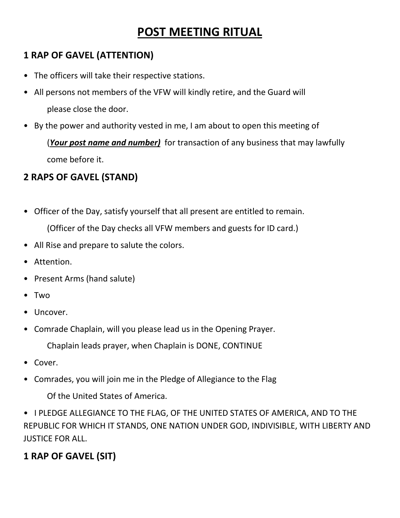# **POST MEETING RITUAL**

### **1 RAP OF GAVEL (ATTENTION)**

- The officers will take their respective stations.
- All persons not members of the VFW will kindly retire, and the Guard will please close the door.
- By the power and authority vested in me, I am about to open this meeting of

(*Your post name and number)* for transaction of any business that may lawfully come before it.

### **2 RAPS OF GAVEL (STAND)**

- Officer of the Day, satisfy yourself that all present are entitled to remain. (Officer of the Day checks all VFW members and guests for ID card.)
- All Rise and prepare to salute the colors.
- Attention.
- Present Arms (hand salute)
- Two
- Uncover.
- Comrade Chaplain, will you please lead us in the Opening Prayer.

Chaplain leads prayer, when Chaplain is DONE, CONTINUE

- Cover.
- Comrades, you will join me in the Pledge of Allegiance to the Flag

Of the United States of America.

• I PLEDGE ALLEGIANCE TO THE FLAG, OF THE UNITED STATES OF AMERICA, AND TO THE REPUBLIC FOR WHICH IT STANDS, ONE NATION UNDER GOD, INDIVISIBLE, WITH LIBERTY AND JUSTICE FOR ALL.

## **1 RAP OF GAVEL (SIT)**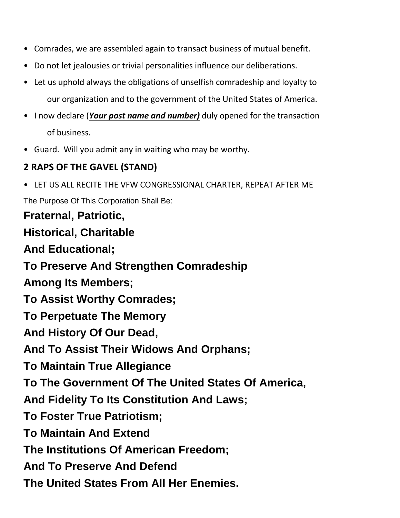- Comrades, we are assembled again to transact business of mutual benefit.
- Do not let jealousies or trivial personalities influence our deliberations.
- Let us uphold always the obligations of unselfish comradeship and loyalty to our organization and to the government of the United States of America.
- I now declare (*Your post name and number)* duly opened for the transaction of business.
- Guard. Will you admit any in waiting who may be worthy.

### **2 RAPS OF THE GAVEL (STAND)**

• LET US ALL RECITE THE VFW CONGRESSIONAL CHARTER, REPEAT AFTER ME

The Purpose Of This Corporation Shall Be:

# **Fraternal, Patriotic, Historical, Charitable And Educational; To Preserve And Strengthen Comradeship Among Its Members; To Assist Worthy Comrades; To Perpetuate The Memory And History Of Our Dead, And To Assist Their Widows And Orphans; To Maintain True Allegiance**

**To The Government Of The United States Of America,** 

**And Fidelity To Its Constitution And Laws;** 

**To Foster True Patriotism;** 

**To Maintain And Extend** 

**The Institutions Of American Freedom;** 

**And To Preserve And Defend** 

**The United States From All Her Enemies.**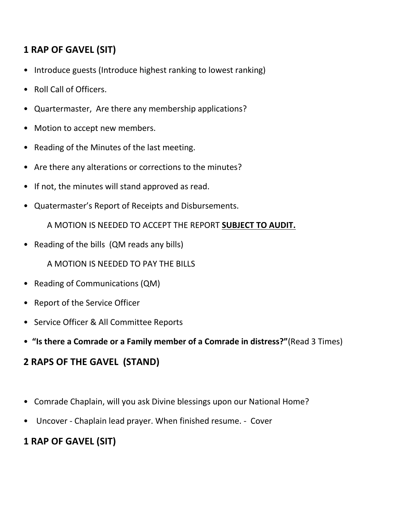### **1 RAP OF GAVEL (SIT)**

- Introduce guests (Introduce highest ranking to lowest ranking)
- Roll Call of Officers.
- Quartermaster, Are there any membership applications?
- Motion to accept new members.
- Reading of the Minutes of the last meeting.
- Are there any alterations or corrections to the minutes?
- If not, the minutes will stand approved as read.
- Quatermaster's Report of Receipts and Disbursements.

A MOTION IS NEEDED TO ACCEPT THE REPORT **SUBJECT TO AUDIT.**

• Reading of the bills (QM reads any bills)

A MOTION IS NEEDED TO PAY THE BILLS

- Reading of Communications (QM)
- Report of the Service Officer
- Service Officer & All Committee Reports
- **"Is there a Comrade or a Family member of a Comrade in distress?"**(Read 3 Times)

#### **2 RAPS OF THE GAVEL (STAND)**

- Comrade Chaplain, will you ask Divine blessings upon our National Home?
- Uncover Chaplain lead prayer. When finished resume. Cover

### **1 RAP OF GAVEL (SIT)**